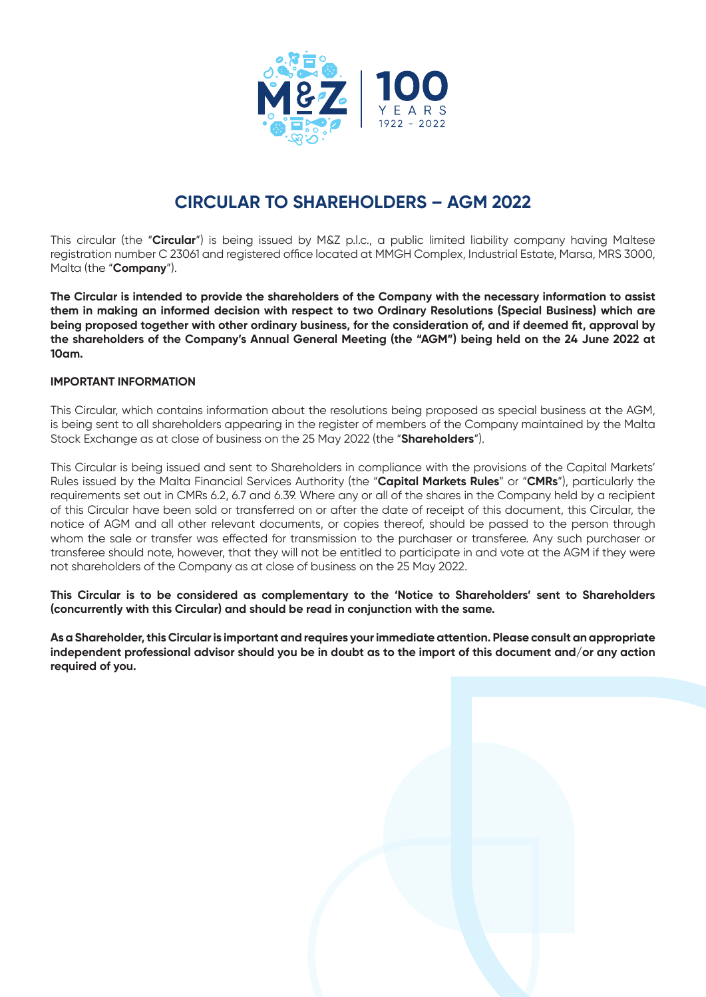

# **CIRCULAR TO SHAREHOLDERS – AGM 2022**

This circular (the "**Circular**") is being issued by M&Z p.l.c., a public limited liability company having Maltese registration number C 23061 and registered office located at MMGH Complex, Industrial Estate, Marsa, MRS 3000, Malta (the "**Company**").

**The Circular is intended to provide the shareholders of the Company with the necessary information to assist them in making an informed decision with respect to two Ordinary Resolutions (Special Business) which are being proposed together with other ordinary business, for the consideration of, and if deemed fit, approval by the shareholders of the Company's Annual General Meeting (the "AGM") being held on the 24 June 2022 at 10am.**

## **IMPORTANT INFORMATION**

This Circular, which contains information about the resolutions being proposed as special business at the AGM, is being sent to all shareholders appearing in the register of members of the Company maintained by the Malta Stock Exchange as at close of business on the 25 May 2022 (the "**Shareholders**").

This Circular is being issued and sent to Shareholders in compliance with the provisions of the Capital Markets' Rules issued by the Malta Financial Services Authority (the "**Capital Markets Rules**" or "**CMRs**"), particularly the requirements set out in CMRs 6.2, 6.7 and 6.39. Where any or all of the shares in the Company held by a recipient of this Circular have been sold or transferred on or after the date of receipt of this document, this Circular, the notice of AGM and all other relevant documents, or copies thereof, should be passed to the person through whom the sale or transfer was effected for transmission to the purchaser or transferee. Any such purchaser or transferee should note, however, that they will not be entitled to participate in and vote at the AGM if they were not shareholders of the Company as at close of business on the 25 May 2022.

**This Circular is to be considered as complementary to the 'Notice to Shareholders' sent to Shareholders (concurrently with this Circular) and should be read in conjunction with the same.** 

**As a Shareholder, this Circular is important and requires your immediate attention. Please consult an appropriate independent professional advisor should you be in doubt as to the import of this document and/or any action required of you.**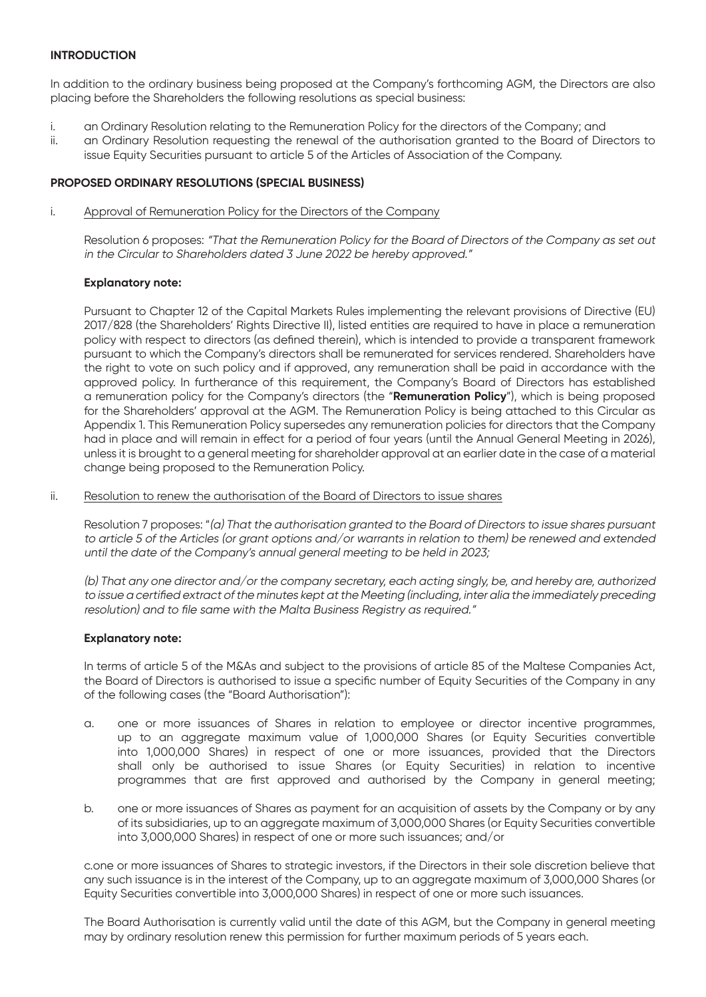## **INTRODUCTION**

In addition to the ordinary business being proposed at the Company's forthcoming AGM, the Directors are also placing before the Shareholders the following resolutions as special business:

- i. an Ordinary Resolution relating to the Remuneration Policy for the directors of the Company; and
- ii. an Ordinary Resolution requesting the renewal of the authorisation granted to the Board of Directors to issue Equity Securities pursuant to article 5 of the Articles of Association of the Company.

## **PROPOSED ORDINARY RESOLUTIONS (SPECIAL BUSINESS)**

i. Approval of Remuneration Policy for the Directors of the Company

Resolution 6 proposes: "That the Remuneration Policy for the Board of Directors of the Company as set out in the Circular to Shareholders dated 3 June 2022 be hereby approved."

### **Explanatory note:**

Pursuant to Chapter 12 of the Capital Markets Rules implementing the relevant provisions of Directive (EU) 2017/828 (the Shareholders' Rights Directive II), listed entities are required to have in place a remuneration policy with respect to directors (as defined therein), which is intended to provide a transparent framework pursuant to which the Company's directors shall be remunerated for services rendered. Shareholders have the right to vote on such policy and if approved, any remuneration shall be paid in accordance with the approved policy. In furtherance of this requirement, the Company's Board of Directors has established a remuneration policy for the Company's directors (the "**Remuneration Policy**"), which is being proposed for the Shareholders' approval at the AGM. The Remuneration Policy is being attached to this Circular as Appendix 1. This Remuneration Policy supersedes any remuneration policies for directors that the Company had in place and will remain in effect for a period of four years (until the Annual General Meeting in 2026), unless it is brought to a general meeting for shareholder approval at an earlier date in the case of a material change being proposed to the Remuneration Policy.

#### ii. Resolution to renew the authorisation of the Board of Directors to issue shares

Resolution 7 proposes: "(a) That the authorisation granted to the Board of Directors to issue shares pursuant to article 5 of the Articles (or grant options and/or warrants in relation to them) be renewed and extended until the date of the Company's annual general meeting to be held in 2023;

(b) That any one director and/or the company secretary, each acting singly, be, and hereby are, authorized to issue a certified extract of the minutes kept at the Meeting (including, inter alia the immediately preceding resolution) and to file same with the Malta Business Registry as required."

## **Explanatory note:**

In terms of article 5 of the M&As and subject to the provisions of article 85 of the Maltese Companies Act, the Board of Directors is authorised to issue a specific number of Equity Securities of the Company in any of the following cases (the "Board Authorisation"):

- a. one or more issuances of Shares in relation to employee or director incentive programmes, up to an aggregate maximum value of 1,000,000 Shares (or Equity Securities convertible into 1,000,000 Shares) in respect of one or more issuances, provided that the Directors shall only be authorised to issue Shares (or Equity Securities) in relation to incentive programmes that are first approved and authorised by the Company in general meeting;
- b. one or more issuances of Shares as payment for an acquisition of assets by the Company or by any of its subsidiaries, up to an aggregate maximum of 3,000,000 Shares (or Equity Securities convertible into 3,000,000 Shares) in respect of one or more such issuances; and/or

c.one or more issuances of Shares to strategic investors, if the Directors in their sole discretion believe that any such issuance is in the interest of the Company, up to an aggregate maximum of 3,000,000 Shares (or Equity Securities convertible into 3,000,000 Shares) in respect of one or more such issuances.

The Board Authorisation is currently valid until the date of this AGM, but the Company in general meeting may by ordinary resolution renew this permission for further maximum periods of 5 years each.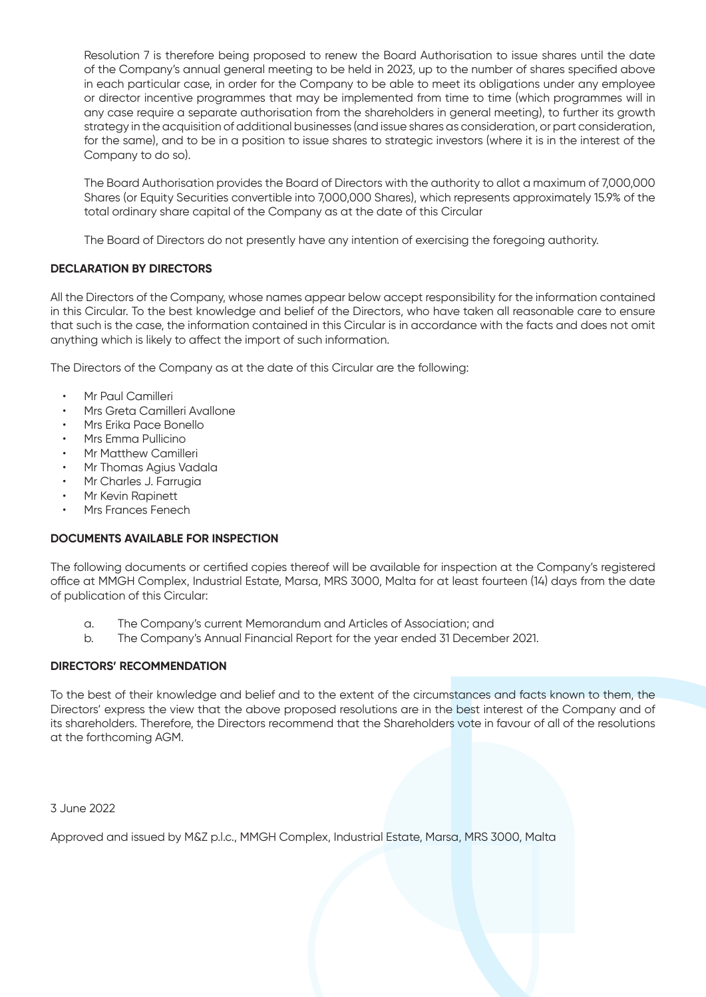Resolution 7 is therefore being proposed to renew the Board Authorisation to issue shares until the date of the Company's annual general meeting to be held in 2023, up to the number of shares specified above in each particular case, in order for the Company to be able to meet its obligations under any employee or director incentive programmes that may be implemented from time to time (which programmes will in any case require a separate authorisation from the shareholders in general meeting), to further its growth strategy in the acquisition of additional businesses (and issue shares as consideration, or part consideration, for the same), and to be in a position to issue shares to strategic investors (where it is in the interest of the Company to do so).

The Board Authorisation provides the Board of Directors with the authority to allot a maximum of 7,000,000 Shares (or Equity Securities convertible into 7,000,000 Shares), which represents approximately 15.9% of the total ordinary share capital of the Company as at the date of this Circular

The Board of Directors do not presently have any intention of exercising the foregoing authority.

# **DECLARATION BY DIRECTORS**

All the Directors of the Company, whose names appear below accept responsibility for the information contained in this Circular. To the best knowledge and belief of the Directors, who have taken all reasonable care to ensure that such is the case, the information contained in this Circular is in accordance with the facts and does not omit anything which is likely to affect the import of such information.

The Directors of the Company as at the date of this Circular are the following:

- Mr Paul Camilleri
- Mrs Greta Camilleri Avallone
- Mrs Erika Pace Bonello
- Mrs Emma Pullicino
- Mr Matthew Camilleri
- Mr Thomas Agius Vadala
- Mr Charles J. Farrugia
- Mr Kevin Rapinett
- Mrs Frances Fenech

# **DOCUMENTS AVAILABLE FOR INSPECTION**

The following documents or certified copies thereof will be available for inspection at the Company's registered office at MMGH Complex, Industrial Estate, Marsa, MRS 3000, Malta for at least fourteen (14) days from the date of publication of this Circular:

- a. The Company's current Memorandum and Articles of Association; and
- b. The Company's Annual Financial Report for the year ended 31 December 2021.

# **DIRECTORS' RECOMMENDATION**

To the best of their knowledge and belief and to the extent of the circumstances and facts known to them, the Directors' express the view that the above proposed resolutions are in the best interest of the Company and of its shareholders. Therefore, the Directors recommend that the Shareholders vote in favour of all of the resolutions at the forthcoming AGM.

3 June 2022

Approved and issued by M&Z p.l.c., MMGH Complex, Industrial Estate, Marsa, MRS 3000, Malta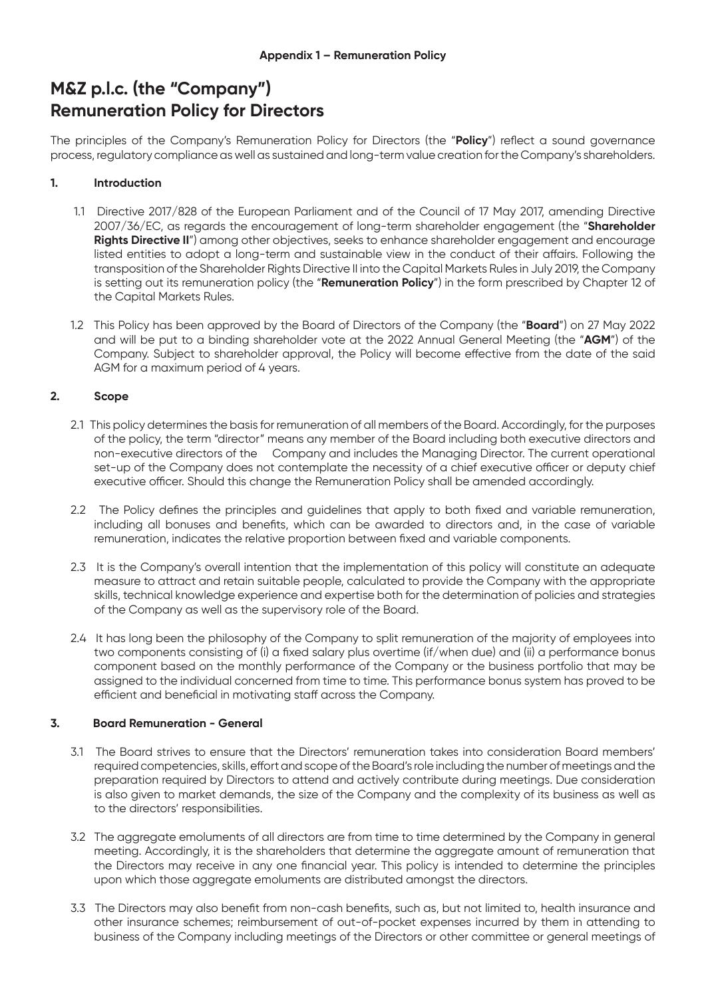# **M&Z p.l.c. (the "Company") Remuneration Policy for Directors**

The principles of the Company's Remuneration Policy for Directors (the "**Policy**") reflect a sound governance process, regulatory compliance as well as sustained and long-term value creation for the Company's shareholders.

## **1. Introduction**

- 1.1 Directive 2017/828 of the European Parliament and of the Council of 17 May 2017, amending Directive 2007/36/EC, as regards the encouragement of long-term shareholder engagement (the "**Shareholder**  Rights Directive II") among other objectives, seeks to enhance shareholder engagement and encourage listed entities to adopt a long-term and sustainable view in the conduct of their affairs. Following the transposition of the Shareholder Rights Directive II into the Capital Markets Rules in July 2019, the Company is setting out its remuneration policy (the "**Remuneration Policy**") in the form prescribed by Chapter 12 of the Capital Markets Rules.
- 1.2 This Policy has been approved by the Board of Directors of the Company (the "**Board**") on 27 May 2022 and will be put to a binding shareholder vote at the 2022 Annual General Meeting (the "**AGM**") of the Company. Subject to shareholder approval, the Policy will become effective from the date of the said AGM for a maximum period of 4 years.

## **2. Scope**

- 2.1 This policy determines the basis for remuneration of all members of the Board. Accordingly, for the purposes of the policy, the term "director" means any member of the Board including both executive directors and non-executive directors of the Company and includes the Managing Director. The current operational set-up of the Company does not contemplate the necessity of a chief executive officer or deputy chief executive officer. Should this change the Remuneration Policy shall be amended accordingly.
- 2.2 The Policy defines the principles and guidelines that apply to both fixed and variable remuneration, including all bonuses and benefits, which can be awarded to directors and, in the case of variable remuneration, indicates the relative proportion between fixed and variable components.
- 2.3 It is the Company's overall intention that the implementation of this policy will constitute an adequate measure to attract and retain suitable people, calculated to provide the Company with the appropriate skills, technical knowledge experience and expertise both for the determination of policies and strategies of the Company as well as the supervisory role of the Board.
- 2.4 It has long been the philosophy of the Company to split remuneration of the majority of employees into two components consisting of (i) a fixed salary plus overtime (if/when due) and (ii) a performance bonus component based on the monthly performance of the Company or the business portfolio that may be assigned to the individual concerned from time to time. This performance bonus system has proved to be efficient and beneficial in motivating staff across the Company.

## **3. Board Remuneration - General**

- 3.1 The Board strives to ensure that the Directors' remuneration takes into consideration Board members' required competencies, skills, effort and scope of the Board's role including the number of meetings and the preparation required by Directors to attend and actively contribute during meetings. Due consideration is also given to market demands, the size of the Company and the complexity of its business as well as to the directors' responsibilities.
- 3.2 The aggregate emoluments of all directors are from time to time determined by the Company in general meeting. Accordingly, it is the shareholders that determine the aggregate amount of remuneration that the Directors may receive in any one financial year. This policy is intended to determine the principles upon which those aggregate emoluments are distributed amongst the directors.
- 3.3 The Directors may also benefit from non-cash benefits, such as, but not limited to, health insurance and other insurance schemes; reimbursement of out-of-pocket expenses incurred by them in attending to business of the Company including meetings of the Directors or other committee or general meetings of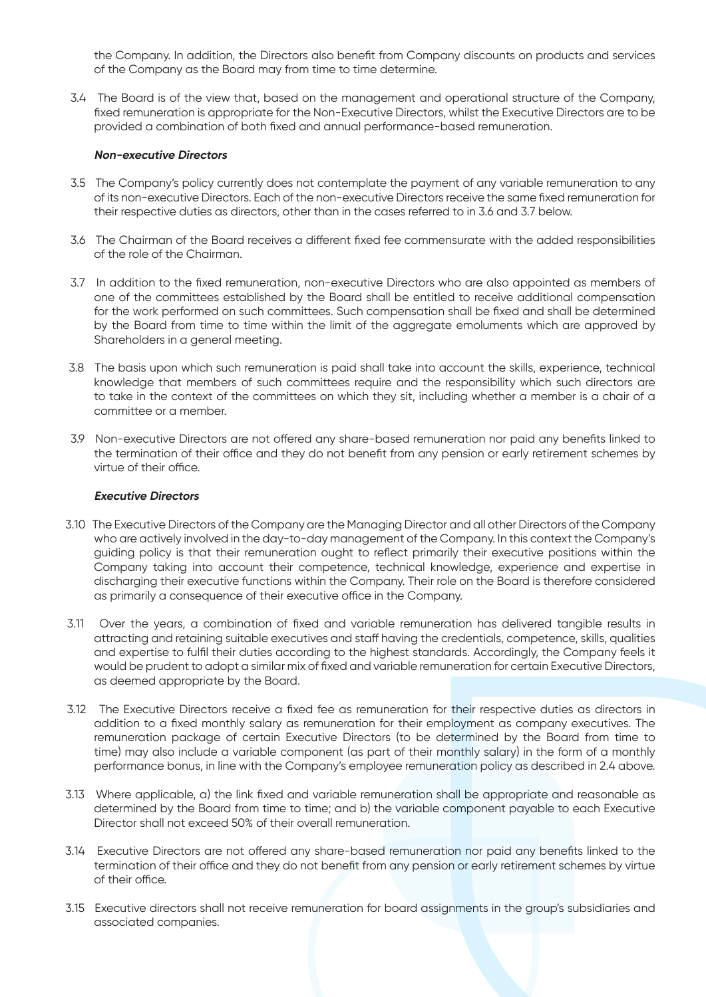the Company. In addition, the Directors also benefit from Company discounts on products and services of the Company as the Board may from time to time determine.

3.4 The Board is of the view that, based on the management and operational structure of the Company, fixed remuneration is appropriate for the Non-Executive Directors, whilst the Executive Directors are to be provided a combination of both fixed and annual performance-based remuneration.

#### **Non-executive Directors**

- 3.5 The Company's policy currently does not contemplate the payment of any variable remuneration to any of its non-executive Directors. Each of the non-executive Directors receive the same fixed remuneration for their respective duties as directors, other than in the cases referred to in 3.6 and 3.7 below.
- 3.6 The Chairman of the Board receives a different fixed fee commensurate with the added responsibilities of the role of the Chairman.
- 3.7 In addition to the fixed remuneration, non-executive Directors who are also appointed as members of one of the committees established by the Board shall be entitled to receive additional compensation for the work performed on such committees. Such compensation shall be fixed and shall be determined by the Board from time to time within the limit of the aggregate emoluments which are approved by Shareholders in a general meeting.
- 3.8 The basis upon which such remuneration is paid shall take into account the skills, experience, technical knowledge that members of such committees require and the responsibility which such directors are to take in the context of the committees on which they sit, including whether a member is a chair of a committee or a member.
- 3.9 Non-executive Directors are not offered any share-based remuneration nor paid any benefits linked to the termination of their office and they do not benefit from any pension or early retirement schemes by virtue of their office.

#### **Executive Directors**

- 3.10 The Executive Directors of the Company are the Managing Director and all other Directors of the Company who are actively involved in the day-to-day management of the Company. In this context the Company's guiding policy is that their remuneration ought to reflect primarily their executive positions within the Company taking into account their competence, technical knowledge, experience and expertise in discharging their executive functions within the Company. Their role on the Board is therefore considered as primarily a consequence of their executive office in the Company.
- 3.11 Over the years, a combination of fixed and variable remuneration has delivered tangible results in attracting and retaining suitable executives and staff having the credentials, competence, skills, qualities and expertise to fulfil their duties according to the highest standards. Accordingly, the Company feels it would be prudent to adopt a similar mix of fixed and variable remuneration for certain Executive Directors, as deemed appropriate by the Board.
- 3.12 The Executive Directors receive a fixed fee as remuneration for their respective duties as directors in addition to a fixed monthly salary as remuneration for their employment as company executives. The remuneration package of certain Executive Directors (to be determined by the Board from time to time) may also include a variable component (as part of their monthly salary) in the form of a monthly performance bonus, in line with the Company's employee remuneration policy as described in 2.4 above.
- 3.13 Where applicable, a) the link fixed and variable remuneration shall be appropriate and reasonable as determined by the Board from time to time; and b) the variable component payable to each Executive Director shall not exceed 50% of their overall remuneration.
- 3.14 Executive Directors are not offered any share-based remuneration nor paid any benefits linked to the termination of their office and they do not benefit from any pension or early retirement schemes by virtue of their office.
- 3.15 Executive directors shall not receive remuneration for board assignments in the group's subsidiaries and associated companies.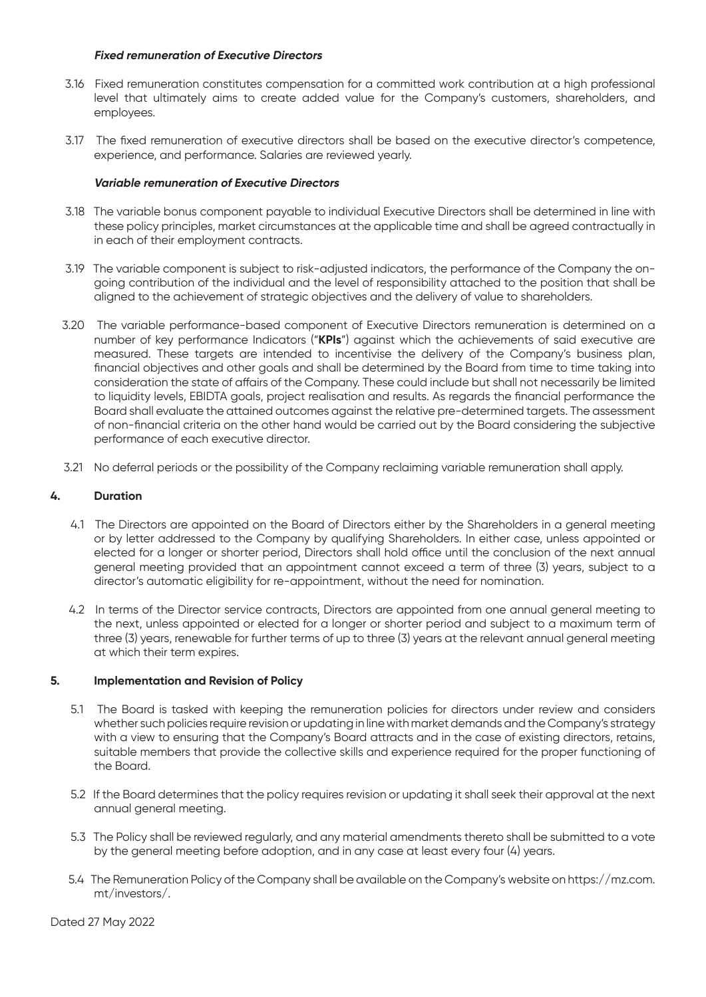## **Fixed remuneration of Executive Directors**

- 3.16 Fixed remuneration constitutes compensation for a committed work contribution at a high professional level that ultimately aims to create added value for the Company's customers, shareholders, and employees.
- 3.17 The fixed remuneration of executive directors shall be based on the executive director's competence, experience, and performance. Salaries are reviewed yearly.

### **Variable remuneration of Executive Directors**

- 3.18 The variable bonus component payable to individual Executive Directors shall be determined in line with these policy principles, market circumstances at the applicable time and shall be agreed contractually in in each of their employment contracts.
- 3.19 The variable component is subject to risk-adjusted indicators, the performance of the Company the ongoing contribution of the individual and the level of responsibility attached to the position that shall be aligned to the achievement of strategic objectives and the delivery of value to shareholders.
- 3.20 The variable performance-based component of Executive Directors remuneration is determined on a number of key performance Indicators ("**KPIs**") against which the achievements of said executive are measured. These targets are intended to incentivise the delivery of the Company's business plan, financial objectives and other goals and shall be determined by the Board from time to time taking into consideration the state of affairs of the Company. These could include but shall not necessarily be limited to liquidity levels, EBIDTA goals, project realisation and results. As regards the financial performance the Board shall evaluate the attained outcomes against the relative pre-determined targets. The assessment of non-financial criteria on the other hand would be carried out by the Board considering the subjective performance of each executive director.
- 3.21 No deferral periods or the possibility of the Company reclaiming variable remuneration shall apply.

### **4. Duration**

- 4.1 The Directors are appointed on the Board of Directors either by the Shareholders in a general meeting or by letter addressed to the Company by qualifying Shareholders. In either case, unless appointed or elected for a longer or shorter period, Directors shall hold office until the conclusion of the next annual general meeting provided that an appointment cannot exceed a term of three (3) years, subject to a director's automatic eligibility for re-appointment, without the need for nomination.
- 4.2 In terms of the Director service contracts, Directors are appointed from one annual general meeting to the next, unless appointed or elected for a longer or shorter period and subject to a maximum term of three (3) years, renewable for further terms of up to three (3) years at the relevant annual general meeting at which their term expires.

#### **5. Implementation and Revision of Policy**

- 5.1 The Board is tasked with keeping the remuneration policies for directors under review and considers whether such policies require revision or updating in line with market demands and the Company's strategy with a view to ensuring that the Company's Board attracts and in the case of existing directors, retains, suitable members that provide the collective skills and experience required for the proper functioning of the Board.
- 5.2 If the Board determines that the policy requires revision or updating it shall seek their approval at the next annual general meeting.
- 5.3 The Policy shall be reviewed regularly, and any material amendments thereto shall be submitted to a vote by the general meeting before adoption, and in any case at least every four (4) years.
- 5.4 The Remuneration Policy of the Company shall be available on the Company's website on https://mz.com. mt/investors/.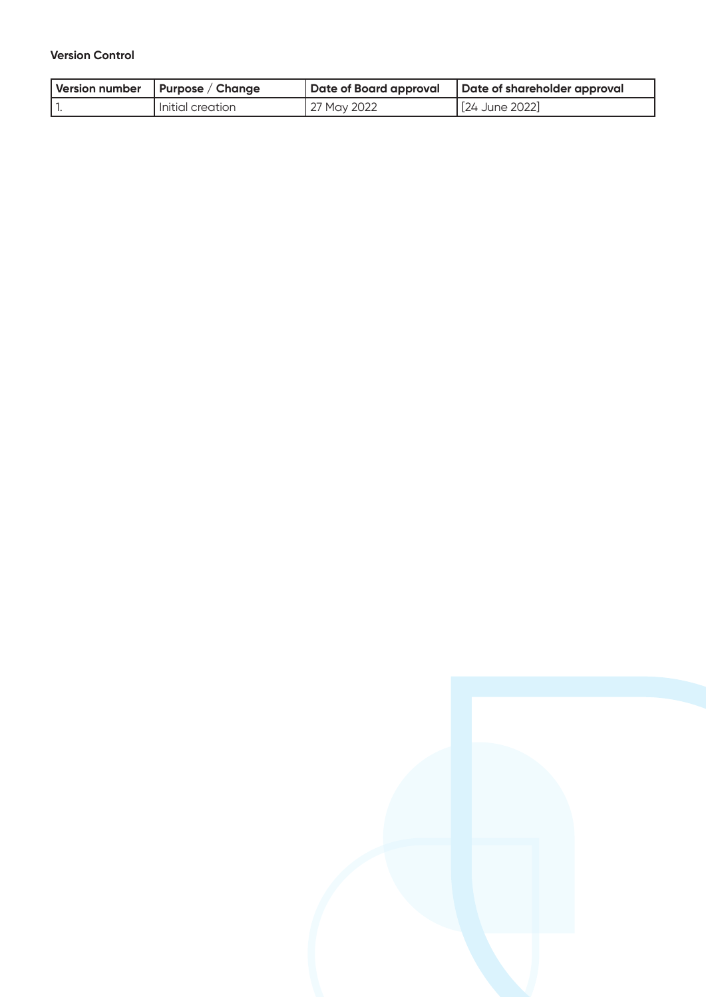# **Version Control**

| Version number   Purpose / Change |             | Date of Board approval   Date of shareholder approval |
|-----------------------------------|-------------|-------------------------------------------------------|
| Initial creation                  | 27 May 2022 | [24 June 2022]                                        |